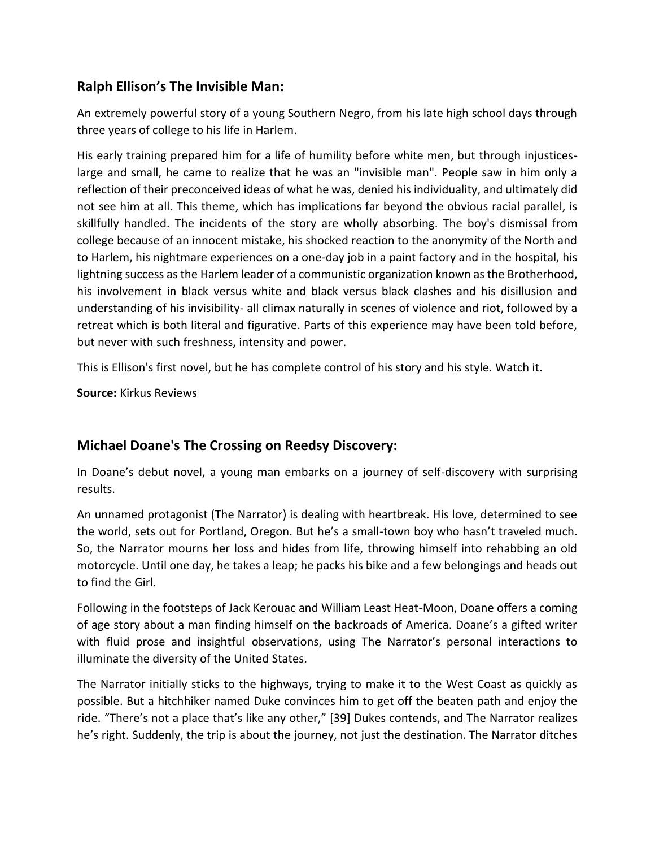## **Ralph Ellison's The Invisible Man:**

An extremely powerful story of a young Southern Negro, from his late high school days through three years of college to his life in Harlem.

His early training prepared him for a life of humility before white men, but through injusticeslarge and small, he came to realize that he was an "invisible man". People saw in him only a reflection of their preconceived ideas of what he was, denied his individuality, and ultimately did not see him at all. This theme, which has implications far beyond the obvious racial parallel, is skillfully handled. The incidents of the story are wholly absorbing. The boy's dismissal from college because of an innocent mistake, his shocked reaction to the anonymity of the North and to Harlem, his nightmare experiences on a one-day job in a paint factory and in the hospital, his lightning success as the Harlem leader of a communistic organization known as the Brotherhood, his involvement in black versus white and black versus black clashes and his disillusion and understanding of his invisibility- all climax naturally in scenes of violence and riot, followed by a retreat which is both literal and figurative. Parts of this experience may have been told before, but never with such freshness, intensity and power.

This is Ellison's first novel, but he has complete control of his story and his style. Watch it.

**Source:** Kirkus Reviews

## **Michael Doane's The Crossing on Reedsy Discovery:**

In Doane's debut novel, a young man embarks on a journey of self-discovery with surprising results.

An unnamed protagonist (The Narrator) is dealing with heartbreak. His love, determined to see the world, sets out for Portland, Oregon. But he's a small-town boy who hasn't traveled much. So, the Narrator mourns her loss and hides from life, throwing himself into rehabbing an old motorcycle. Until one day, he takes a leap; he packs his bike and a few belongings and heads out to find the Girl.

Following in the footsteps of Jack Kerouac and William Least Heat-Moon, Doane offers a coming of age story about a man finding himself on the backroads of America. Doane's a gifted writer with fluid prose and insightful observations, using The Narrator's personal interactions to illuminate the diversity of the United States.

The Narrator initially sticks to the highways, trying to make it to the West Coast as quickly as possible. But a hitchhiker named Duke convinces him to get off the beaten path and enjoy the ride. "There's not a place that's like any other," [39] Dukes contends, and The Narrator realizes he's right. Suddenly, the trip is about the journey, not just the destination. The Narrator ditches